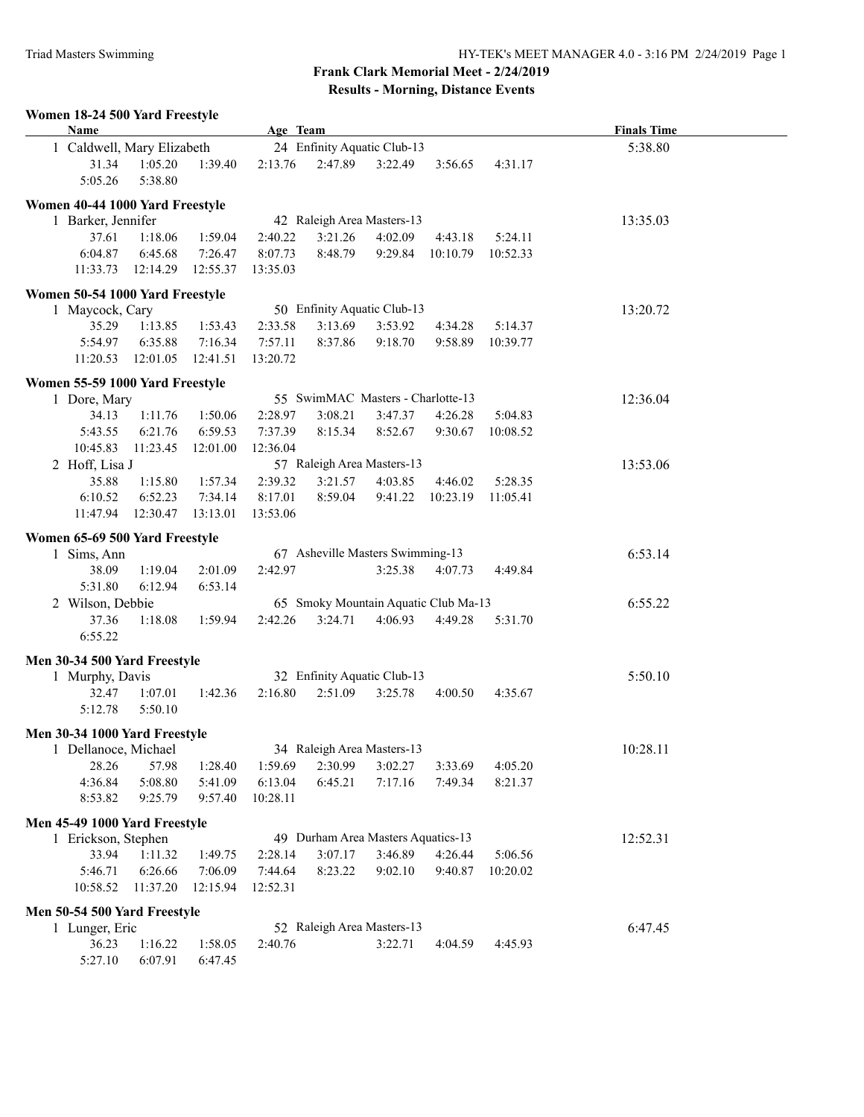## **Frank Clark Memorial Meet - 2/24/2019 Results - Morning, Distance Events**

## **Women 18-24 500 Yard Freestyle Age Team Age Team Age Team** *Finals Time* 1 Caldwell, Mary Elizabeth 24 Enfinity Aquatic Club-13 5:38.80 31.34 1:05.20 1:39.40 2:13.76 2:47.89 3:22.49 3:56.65 4:31.17 5:05.26 5:38.80 **Women 40-44 1000 Yard Freestyle** 1 Barker, Jennifer 42 Raleigh Area Masters-13 13:35.03 37.61 1:18.06 1:59.04 2:40.22 3:21.26 4:02.09 4:43.18 5:24.11 6:04.87 6:45.68 7:26.47 8:07.73 8:48.79 9:29.84 10:10.79 10:52.33 11:33.73 12:14.29 12:55.37 13:35.03 **Women 50-54 1000 Yard Freestyle** 1 Maycock, Cary 50 Enfinity Aquatic Club-13 13:20.72 35.29 1:13.85 1:53.43 2:33.58 3:13.69 3:53.92 4:34.28 5:14.37 5:54.97 6:35.88 7:16.34 7:57.11 8:37.86 9:18.70 9:58.89 10:39.77 11:20.53 12:01.05 12:41.51 13:20.72 **Women 55-59 1000 Yard Freestyle** 1 Dore, Mary 55 SwimMAC Masters - Charlotte-13 12:36.04 34.13 1:11.76 1:50.06 2:28.97 3:08.21 3:47.37 4:26.28 5:04.83 5:43.55 6:21.76 6:59.53 7:37.39 8:15.34 8:52.67 9:30.67 10:08.52 10:45.83 11:23.45 12:01.00 12:36.04 2 Hoff, Lisa J 57 Raleigh Area Masters-13 13:53.06 35.88 1:15.80 1:57.34 2:39.32 3:21.57 4:03.85 4:46.02 5:28.35 6:10.52 6:52.23 7:34.14 8:17.01 8:59.04 9:41.22 10:23.19 11:05.41 11:47.94 12:30.47 13:13.01 13:53.06 **Women 65-69 500 Yard Freestyle** 1 Sims, Ann 67 Asheville Masters Swimming-13 6:53.14 38.09 1:19.04 2:01.09 2:42.97 3:25.38 4:07.73 4:49.84 5:31.80 6:12.94 6:53.14 2 Wilson, Debbie 65 Smoky Mountain Aquatic Club Ma-13 6:55.22 37.36 1:18.08 1:59.94 2:42.26 3:24.71 4:06.93 4:49.28 5:31.70 6:55.22 **Men 30-34 500 Yard Freestyle** 1 Murphy, Davis 32 Enfinity Aquatic Club-13 5:50.10 32.47 1:07.01 1:42.36 2:16.80 2:51.09 3:25.78 4:00.50 4:35.67 5:12.78 5:50.10 **Men 30-34 1000 Yard Freestyle** 1 Dellanoce, Michael 34 Raleigh Area Masters-13 10:28.11 28.26 57.98 1:28.40 1:59.69 2:30.99 3:02.27 3:33.69 4:05.20 4:36.84 5:08.80 5:41.09 6:13.04 6:45.21 7:17.16 7:49.34 8:21.37 8:53.82 9:25.79 9:57.40 10:28.11 **Men 45-49 1000 Yard Freestyle** 1 Erickson, Stephen 49 Durham Area Masters Aquatics-13 12:52.31 33.94 1:11.32 1:49.75 2:28.14 3:07.17 3:46.89 4:26.44 5:06.56 5:46.71 6:26.66 7:06.09 7:44.64 8:23.22 9:02.10 9:40.87 10:20.02 10:58.52 11:37.20 12:15.94 12:52.31 **Men 50-54 500 Yard Freestyle** 1 Lunger, Eric 52 Raleigh Area Masters-13 6:47.45 36.23 1:16.22 1:58.05 2:40.76 3:22.71 4:04.59 4:45.93 5:27.10 6:07.91 6:47.45